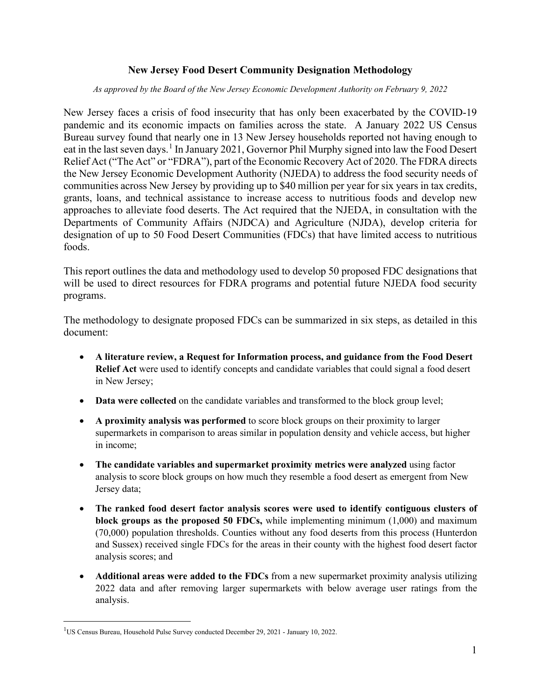### **New Jersey Food Desert Community Designation Methodology**

*As approved by the Board of the New Jersey Economic Development Authority on February 9, 2022*

New Jersey faces a crisis of food insecurity that has only been exacerbated by the COVID-19 pandemic and its economic impacts on families across the state. A January 2022 US Census Bureau survey found that nearly one in 13 New Jersey households reported not having enough to eat in the last seven days.<sup>[1](#page-0-0)</sup> In January 2021, Governor Phil Murphy signed into law the Food Desert Relief Act ("The Act" or "FDRA"), part of the Economic Recovery Act of 2020. The FDRA directs the New Jersey Economic Development Authority (NJEDA) to address the food security needs of communities across New Jersey by providing up to \$40 million per year for six years in tax credits, grants, loans, and technical assistance to increase access to nutritious foods and develop new approaches to alleviate food deserts. The Act required that the NJEDA, in consultation with the Departments of Community Affairs (NJDCA) and Agriculture (NJDA), develop criteria for designation of up to 50 Food Desert Communities (FDCs) that have limited access to nutritious foods.

This report outlines the data and methodology used to develop 50 proposed FDC designations that will be used to direct resources for FDRA programs and potential future NJEDA food security programs.

The methodology to designate proposed FDCs can be summarized in six steps, as detailed in this document:

- **A literature review, a Request for Information process, and guidance from the Food Desert Relief Act** were used to identify concepts and candidate variables that could signal a food desert in New Jersey;
- **Data were collected** on the candidate variables and transformed to the block group level;
- **A proximity analysis was performed** to score block groups on their proximity to larger supermarkets in comparison to areas similar in population density and vehicle access, but higher in income;
- **The candidate variables and supermarket proximity metrics were analyzed** using factor analysis to score block groups on how much they resemble a food desert as emergent from New Jersey data;
- **The ranked food desert factor analysis scores were used to identify contiguous clusters of block groups as the proposed 50 FDCs,** while implementing minimum (1,000) and maximum (70,000) population thresholds. Counties without any food deserts from this process (Hunterdon and Sussex) received single FDCs for the areas in their county with the highest food desert factor analysis scores; and
- **Additional areas were added to the FDCs** from a new supermarket proximity analysis utilizing 2022 data and after removing larger supermarkets with below average user ratings from the analysis.

<span id="page-0-0"></span><sup>&</sup>lt;sup>1</sup>US Census Bureau, Household Pulse Survey conducted December 29, 2021 - January 10, 2022.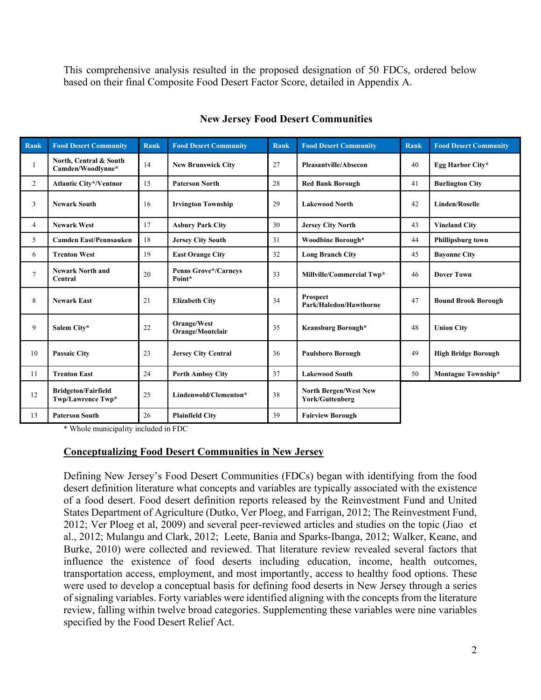This comprehensive analysis resulted in the proposed designation of 50 FDCs, ordered below based on their final Composite Food Desert Factor Score, detailed in Appendix A.

| <b>Rank</b>    | <b>Food Desert Community</b>                    | <b>Rank</b> | <b>Food Desert Community</b>          | <b>Rank</b> | <b>Food Desert Community</b>                    | <b>Rank</b> | <b>Food Desert Community</b> |
|----------------|-------------------------------------------------|-------------|---------------------------------------|-------------|-------------------------------------------------|-------------|------------------------------|
| -1             | North, Central & South<br>Camden/Woodlynne*     | 14          | <b>New Brunswick City</b>             | 27          | Pleasantville/Absecon                           | 40          | Egg Harbor City*             |
| $\overline{2}$ | <b>Atlantic City*/Ventnor</b>                   | 15          | <b>Paterson North</b>                 | 28          | <b>Red Bank Borough</b>                         | 41          | <b>Burlington City</b>       |
| 3              | <b>Newark South</b>                             | 16          | <b>Irvington Township</b>             | 29          | <b>Lakewood North</b>                           | 42          | <b>Linden/Roselle</b>        |
| $\overline{4}$ | <b>Newark West</b>                              | 17          | <b>Asbury Park City</b>               | 30          | <b>Jersey City North</b>                        | 43          | <b>Vineland City</b>         |
| 5              | <b>Camden East/Pennsauken</b>                   | 18          | <b>Jersey City South</b>              | 31          | Woodbine Borough*                               | 44          | Phillipsburg town            |
| 6              | <b>Trenton West</b>                             | 19          | <b>East Orange City</b>               | 32          | <b>Long Branch City</b>                         | 45          | <b>Bayonne City</b>          |
| $\overline{7}$ | <b>Newark North and</b><br>Central              | 20          | <b>Penns Grove*/Carneys</b><br>Point* | 33          | Millville/Commercial Twp*                       | 46          | <b>Dover Town</b>            |
| 8              | <b>Newark East</b>                              | 21          | <b>Elizabeth City</b>                 | 34          | Prospect<br>Park/Haledon/Hawthorne              | 47          | <b>Bound Brook Borough</b>   |
| 9              | Salem City*                                     | 22          | Orange/West<br>Orange/Montclair       | 35          | Keansburg Borough*                              | 48          | <b>Union City</b>            |
| 10             | <b>Passaic City</b>                             | 23          | <b>Jersey City Central</b>            | 36          | <b>Paulsboro Borough</b>                        | 49          | <b>High Bridge Borough</b>   |
| 11             | <b>Trenton East</b>                             | 24          | <b>Perth Amboy City</b>               | 37          | <b>Lakewood South</b>                           | 50          | Montague Township*           |
| 12             | <b>Bridgeton/Fairfield</b><br>Twp/Lawrence Twp* | 25          | Lindenwold/Clementon*                 | 38          | <b>North Bergen/West New</b><br>York/Guttenberg |             |                              |
| 13             | <b>Paterson South</b>                           | 26          | <b>Plainfield City</b>                | 39          | <b>Fairview Borough</b>                         |             |                              |

### **New Jersey Food Desert Communities**

\* Whole municipality included in FDC

## **Conceptualizing Food Desert Communities in New Jersey**

Defining New Jersey's Food Desert Communities (FDCs) began with identifying from the food desert definition literature what concepts and variables are typically associated with the existence of a food desert. Food desert definition reports released by the Reinvestment Fund and United States Department of Agriculture (Dutko, Ver Ploeg, and Farrigan, 2012; The Reinvestment Fund, 2012; Ver Ploeg et al, 2009) and several peer-reviewed articles and studies on the topic (Jiao et al., 2012; Mulangu and Clark, 2012; Leete, Bania and Sparks-Ibanga, 2012; Walker, Keane, and Burke, 2010) were collected and reviewed. That literature review revealed several factors that influence the existence of food deserts including education, income, health outcomes, transportation access, employment, and most importantly, access to healthy food options. These were used to develop a conceptual basis for defining food deserts in New Jersey through a series of signaling variables. Forty variables were identified aligning with the concepts from the literature review, falling within twelve broad categories. Supplementing these variables were nine variables specified by the Food Desert Relief Act.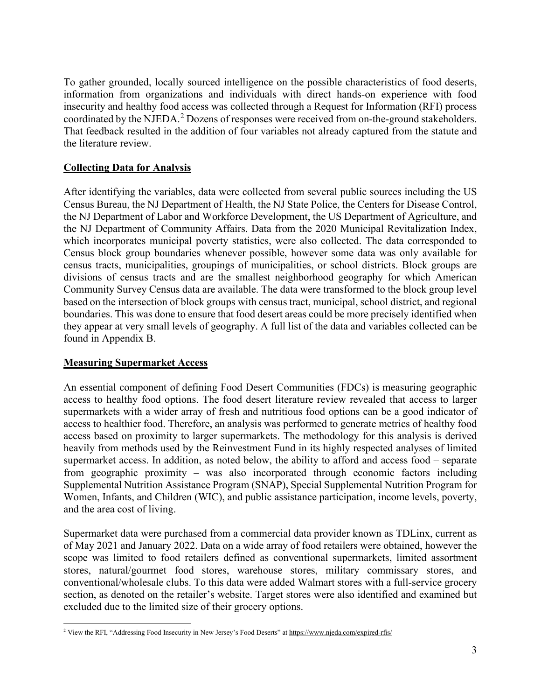To gather grounded, locally sourced intelligence on the possible characteristics of food deserts, information from organizations and individuals with direct hands-on experience with food insecurity and healthy food access was collected through a Request for Information (RFI) process coordinated by the NJEDA.<sup>[2](#page-2-0)</sup> Dozens of responses were received from on-the-ground stakeholders. That feedback resulted in the addition of four variables not already captured from the statute and the literature review.

## **Collecting Data for Analysis**

After identifying the variables, data were collected from several public sources including the US Census Bureau, the NJ Department of Health, the NJ State Police, the Centers for Disease Control, the NJ Department of Labor and Workforce Development, the US Department of Agriculture, and the NJ Department of Community Affairs. Data from the 2020 Municipal Revitalization Index, which incorporates municipal poverty statistics, were also collected. The data corresponded to Census block group boundaries whenever possible, however some data was only available for census tracts, municipalities, groupings of municipalities, or school districts. Block groups are divisions of census tracts and are the smallest neighborhood geography for which American Community Survey Census data are available. The data were transformed to the block group level based on the intersection of block groups with census tract, municipal, school district, and regional boundaries. This was done to ensure that food desert areas could be more precisely identified when they appear at very small levels of geography. A full list of the data and variables collected can be found in Appendix B.

## **Measuring Supermarket Access**

An essential component of defining Food Desert Communities (FDCs) is measuring geographic access to healthy food options. The food desert literature review revealed that access to larger supermarkets with a wider array of fresh and nutritious food options can be a good indicator of access to healthier food. Therefore, an analysis was performed to generate metrics of healthy food access based on proximity to larger supermarkets. The methodology for this analysis is derived heavily from methods used by the Reinvestment Fund in its highly respected analyses of limited supermarket access. In addition, as noted below, the ability to afford and access food – separate from geographic proximity – was also incorporated through economic factors including Supplemental Nutrition Assistance Program (SNAP), Special Supplemental Nutrition Program for Women, Infants, and Children (WIC), and public assistance participation, income levels, poverty, and the area cost of living.

Supermarket data were purchased from a commercial data provider known as TDLinx, current as of May 2021 and January 2022. Data on a wide array of food retailers were obtained, however the scope was limited to food retailers defined as conventional supermarkets, limited assortment stores, natural/gourmet food stores, warehouse stores, military commissary stores, and conventional/wholesale clubs. To this data were added Walmart stores with a full-service grocery section, as denoted on the retailer's website. Target stores were also identified and examined but excluded due to the limited size of their grocery options.

<span id="page-2-0"></span><sup>&</sup>lt;sup>2</sup> View the RFI, "Addressing Food Insecurity in New Jersey's Food Deserts" a[t https://www.njeda.com/expired-rfis/](https://www.njeda.com/expired-rfis/)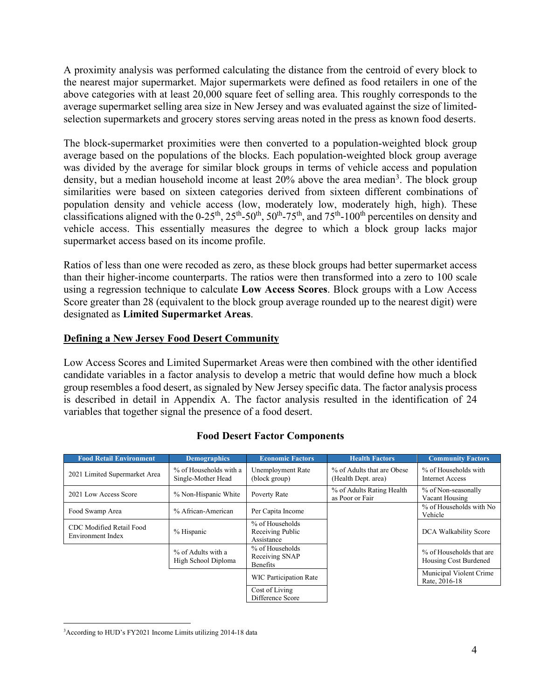A proximity analysis was performed calculating the distance from the centroid of every block to the nearest major supermarket. Major supermarkets were defined as food retailers in one of the above categories with at least 20,000 square feet of selling area. This roughly corresponds to the average supermarket selling area size in New Jersey and was evaluated against the size of limitedselection supermarkets and grocery stores serving areas noted in the press as known food deserts.

The block-supermarket proximities were then converted to a population-weighted block group average based on the populations of the blocks. Each population-weighted block group average was divided by the average for similar block groups in terms of vehicle access and population density, but a median household income at least 20% above the area median<sup>[3](#page-3-0)</sup>. The block group similarities were based on sixteen categories derived from sixteen different combinations of population density and vehicle access (low, moderately low, moderately high, high). These classifications aligned with the 0-25<sup>th</sup>, 25<sup>th</sup>-50<sup>th</sup>, 50<sup>th</sup>-75<sup>th</sup>, and 75<sup>th</sup>-100<sup>th</sup> percentiles on density and vehicle access. This essentially measures the degree to which a block group lacks major supermarket access based on its income profile.

Ratios of less than one were recoded as zero, as these block groups had better supermarket access than their higher-income counterparts. The ratios were then transformed into a zero to 100 scale using a regression technique to calculate **Low Access Scores**. Block groups with a Low Access Score greater than 28 (equivalent to the block group average rounded up to the nearest digit) were designated as **Limited Supermarket Areas**.

## **Defining a New Jersey Food Desert Community**

Low Access Scores and Limited Supermarket Areas were then combined with the other identified candidate variables in a factor analysis to develop a metric that would define how much a block group resembles a food desert, as signaled by New Jersey specific data. The factor analysis process is described in detail in Appendix A. The factor analysis resulted in the identification of 24 variables that together signal the presence of a food desert.

| <b>Food Retail Environment</b>                | <b>Demographics</b>                          | <b>Economic Factors</b>                           | <b>Health Factors</b>                             | <b>Community Factors</b>                          |
|-----------------------------------------------|----------------------------------------------|---------------------------------------------------|---------------------------------------------------|---------------------------------------------------|
| 2021 Limited Supermarket Area                 | % of Households with a<br>Single-Mother Head | <b>Unemployment Rate</b><br>(block group)         | % of Adults that are Obese<br>(Health Dept. area) | % of Households with<br>Internet Access           |
| 2021 Low Access Score                         | % Non-Hispanic White                         | Poverty Rate                                      | % of Adults Rating Health<br>as Poor or Fair      | % of Non-seasonally<br>Vacant Housing             |
| Food Swamp Area                               | % African-American                           | Per Capita Income                                 |                                                   | % of Households with No<br>Vehicle                |
| CDC Modified Retail Food<br>Environment Index | % Hispanic                                   | % of Households<br>Receiving Public<br>Assistance |                                                   | DCA Walkability Score                             |
|                                               | % of Adults with a<br>High School Diploma    | % of Households<br>Receiving SNAP<br>Benefits     |                                                   | % of Households that are<br>Housing Cost Burdened |
|                                               |                                              | <b>WIC Participation Rate</b>                     |                                                   | Municipal Violent Crime<br>Rate, 2016-18          |
|                                               |                                              | Cost of Living<br>Difference Score                |                                                   |                                                   |

## **Food Desert Factor Components**

<span id="page-3-0"></span><sup>&</sup>lt;sup>3</sup>According to HUD's FY2021 Income Limits utilizing 2014-18 data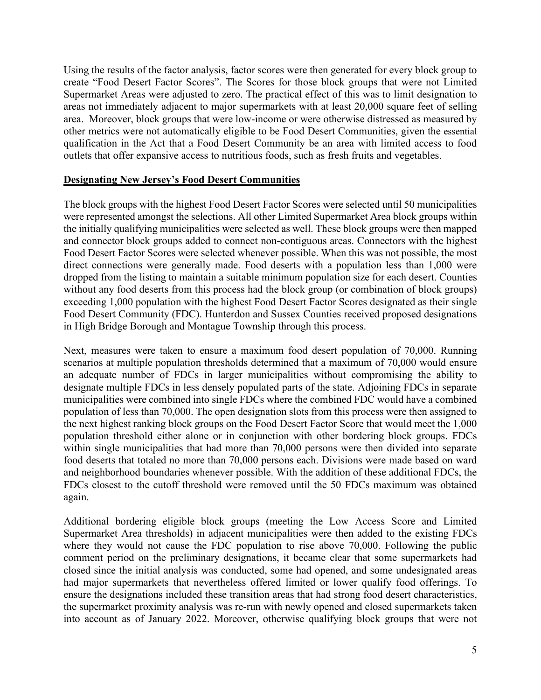Using the results of the factor analysis, factor scores were then generated for every block group to create "Food Desert Factor Scores". The Scores for those block groups that were not Limited Supermarket Areas were adjusted to zero. The practical effect of this was to limit designation to areas not immediately adjacent to major supermarkets with at least 20,000 square feet of selling area. Moreover, block groups that were low-income or were otherwise distressed as measured by other metrics were not automatically eligible to be Food Desert Communities, given the essential qualification in the Act that a Food Desert Community be an area with limited access to food outlets that offer expansive access to nutritious foods, such as fresh fruits and vegetables.

### **Designating New Jersey's Food Desert Communities**

The block groups with the highest Food Desert Factor Scores were selected until 50 municipalities were represented amongst the selections. All other Limited Supermarket Area block groups within the initially qualifying municipalities were selected as well. These block groups were then mapped and connector block groups added to connect non-contiguous areas. Connectors with the highest Food Desert Factor Scores were selected whenever possible. When this was not possible, the most direct connections were generally made. Food deserts with a population less than 1,000 were dropped from the listing to maintain a suitable minimum population size for each desert. Counties without any food deserts from this process had the block group (or combination of block groups) exceeding 1,000 population with the highest Food Desert Factor Scores designated as their single Food Desert Community (FDC). Hunterdon and Sussex Counties received proposed designations in High Bridge Borough and Montague Township through this process.

Next, measures were taken to ensure a maximum food desert population of 70,000. Running scenarios at multiple population thresholds determined that a maximum of 70,000 would ensure an adequate number of FDCs in larger municipalities without compromising the ability to designate multiple FDCs in less densely populated parts of the state. Adjoining FDCs in separate municipalities were combined into single FDCs where the combined FDC would have a combined population of less than 70,000. The open designation slots from this process were then assigned to the next highest ranking block groups on the Food Desert Factor Score that would meet the 1,000 population threshold either alone or in conjunction with other bordering block groups. FDCs within single municipalities that had more than 70,000 persons were then divided into separate food deserts that totaled no more than 70,000 persons each. Divisions were made based on ward and neighborhood boundaries whenever possible. With the addition of these additional FDCs, the FDCs closest to the cutoff threshold were removed until the 50 FDCs maximum was obtained again.

Additional bordering eligible block groups (meeting the Low Access Score and Limited Supermarket Area thresholds) in adjacent municipalities were then added to the existing FDCs where they would not cause the FDC population to rise above 70,000. Following the public comment period on the preliminary designations, it became clear that some supermarkets had closed since the initial analysis was conducted, some had opened, and some undesignated areas had major supermarkets that nevertheless offered limited or lower qualify food offerings. To ensure the designations included these transition areas that had strong food desert characteristics, the supermarket proximity analysis was re-run with newly opened and closed supermarkets taken into account as of January 2022. Moreover, otherwise qualifying block groups that were not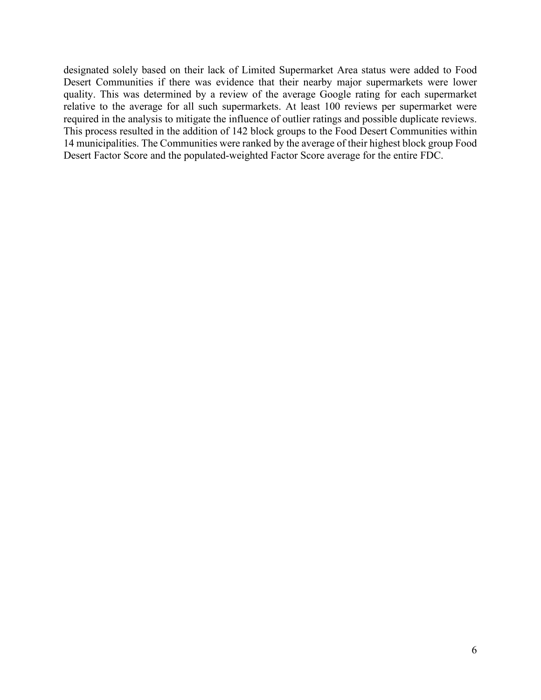designated solely based on their lack of Limited Supermarket Area status were added to Food Desert Communities if there was evidence that their nearby major supermarkets were lower quality. This was determined by a review of the average Google rating for each supermarket relative to the average for all such supermarkets. At least 100 reviews per supermarket were required in the analysis to mitigate the influence of outlier ratings and possible duplicate reviews. This process resulted in the addition of 142 block groups to the Food Desert Communities within 14 municipalities. The Communities were ranked by the average of their highest block group Food Desert Factor Score and the populated-weighted Factor Score average for the entire FDC.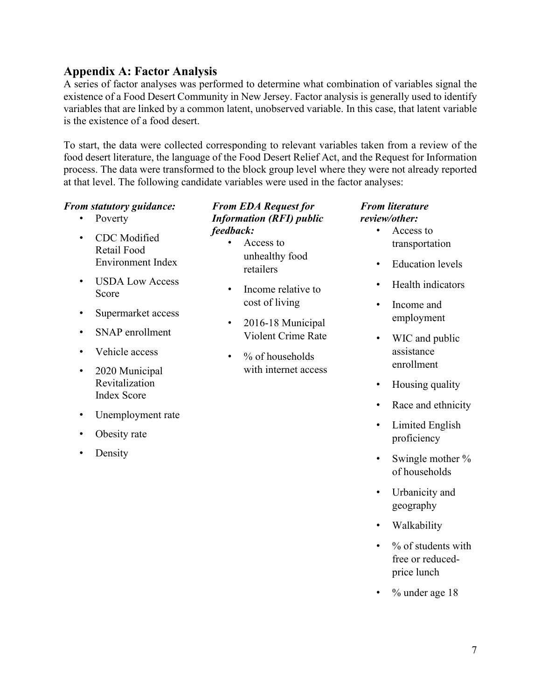## **Appendix A: Factor Analysis**

A series of factor analyses was performed to determine what combination of variables signal the existence of a Food Desert Community in New Jersey. Factor analysis is generally used to identify variables that are linked by a common latent, unobserved variable. In this case, that latent variable is the existence of a food desert.

To start, the data were collected corresponding to relevant variables taken from a review of the food desert literature, the language of the Food Desert Relief Act, and the Request for Information process. The data were transformed to the block group level where they were not already reported at that level. The following candidate variables were used in the factor analyses:

### *From statutory guidance:*

- Poverty
- CDC Modified Retail Food Environment Index
- USDA Low Access Score
- Supermarket access
- SNAP enrollment
- Vehicle access
- 2020 Municipal Revitalization Index Score
- Unemployment rate
- Obesity rate
- Density

## *From EDA Request for Information (RFI) public feedback:*

- Access to unhealthy food retailers
- Income relative to cost of living
- 2016-18 Municipal Violent Crime Rate
- $%$  of households with internet access

#### *From literature review/other:*

- Access to transportation
- Education levels
- Health indicators
- Income and employment
- WIC and public assistance enrollment
- Housing quality
- Race and ethnicity
- Limited English proficiency
- Swingle mother % of households
- Urbanicity and geography
- Walkability
- $\cdot$  % of students with free or reducedprice lunch
- % under age 18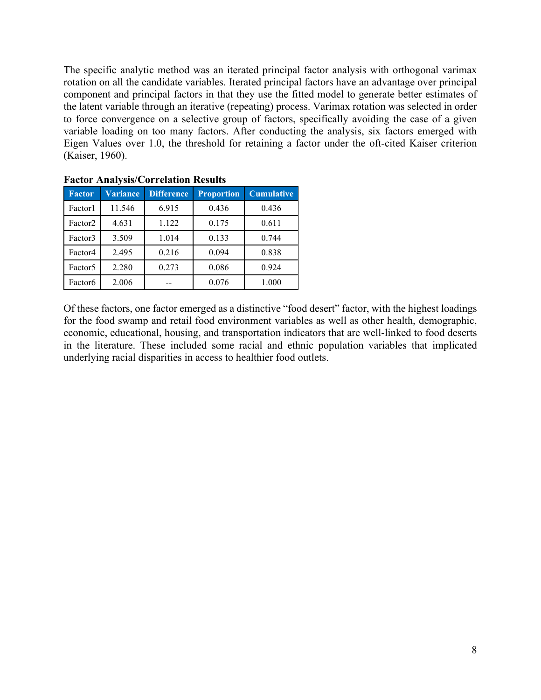The specific analytic method was an iterated principal factor analysis with orthogonal varimax rotation on all the candidate variables. Iterated principal factors have an advantage over principal component and principal factors in that they use the fitted model to generate better estimates of the latent variable through an iterative (repeating) process. Varimax rotation was selected in order to force convergence on a selective group of factors, specifically avoiding the case of a given variable loading on too many factors. After conducting the analysis, six factors emerged with Eigen Values over 1.0, the threshold for retaining a factor under the oft-cited Kaiser criterion (Kaiser, 1960).

| Taxtor Anarysis/Correlation Results |                 |                   |                   |                   |  |  |
|-------------------------------------|-----------------|-------------------|-------------------|-------------------|--|--|
| <b>Factor</b>                       | <b>Variance</b> | <b>Difference</b> | <b>Proportion</b> | <b>Cumulative</b> |  |  |
| Factor1                             | 11.546          | 6.915             | 0.436             | 0.436             |  |  |
| Factor <sub>2</sub>                 | 4.631           | 1.122             | 0.175             | 0.611             |  |  |
| Factor3                             | 3.509           | 1.014             | 0.133             | 0.744             |  |  |
| Factor4                             | 2.495           | 0.216             | 0.094             | 0.838             |  |  |
| Factor <sub>5</sub>                 | 2.280           | 0.273             | 0.086             | 0.924             |  |  |
| Factor <sub>6</sub>                 | 2.006           |                   | 0.076             | 1.000             |  |  |

**Factor Analysis/Correlation Results**

Of these factors, one factor emerged as a distinctive "food desert" factor, with the highest loadings for the food swamp and retail food environment variables as well as other health, demographic, economic, educational, housing, and transportation indicators that are well-linked to food deserts in the literature. These included some racial and ethnic population variables that implicated underlying racial disparities in access to healthier food outlets.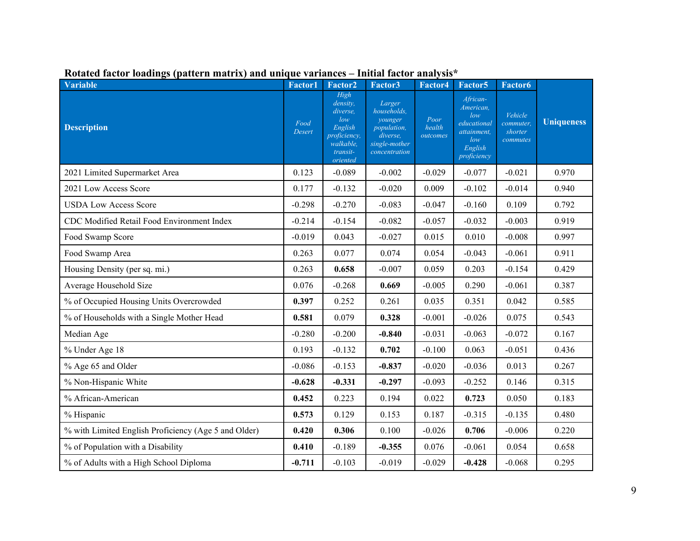| <b>Variable</b>                                      | <b>Factor1</b> | Factor2                                                                                                    | Factor3                                                                                       | Factor4                    | Factor <sub>5</sub>                                                                         | <b>Factor6</b>                              |                   |
|------------------------------------------------------|----------------|------------------------------------------------------------------------------------------------------------|-----------------------------------------------------------------------------------------------|----------------------------|---------------------------------------------------------------------------------------------|---------------------------------------------|-------------------|
| <b>Description</b>                                   | Food<br>Desert | High<br>density,<br><i>diverse.</i><br>low<br>English<br>proficiency,<br>walkable,<br>transit-<br>oriented | Larger<br>households,<br>younger<br>population,<br>diverse,<br>single-mother<br>concentration | Poor<br>health<br>outcomes | African-<br>American,<br>low<br>educational<br>attainment,<br>low<br>English<br>proficiency | Vehicle<br>commuter,<br>shorter<br>commutes | <b>Uniqueness</b> |
| 2021 Limited Supermarket Area                        | 0.123          | $-0.089$                                                                                                   | $-0.002$                                                                                      | $-0.029$                   | $-0.077$                                                                                    | $-0.021$                                    | 0.970             |
| 2021 Low Access Score                                | 0.177          | $-0.132$                                                                                                   | $-0.020$                                                                                      | 0.009                      | $-0.102$                                                                                    | $-0.014$                                    | 0.940             |
| <b>USDA Low Access Score</b>                         | $-0.298$       | $-0.270$                                                                                                   | $-0.083$                                                                                      | $-0.047$                   | $-0.160$                                                                                    | 0.109                                       | 0.792             |
| CDC Modified Retail Food Environment Index           | $-0.214$       | $-0.154$                                                                                                   | $-0.082$                                                                                      | $-0.057$                   | $-0.032$                                                                                    | $-0.003$                                    | 0.919             |
| Food Swamp Score                                     | $-0.019$       | 0.043                                                                                                      | $-0.027$                                                                                      | 0.015                      | 0.010                                                                                       | $-0.008$                                    | 0.997             |
| Food Swamp Area                                      | 0.263          | 0.077                                                                                                      | 0.074                                                                                         | 0.054                      | $-0.043$                                                                                    | $-0.061$                                    | 0.911             |
| Housing Density (per sq. mi.)                        | 0.263          | 0.658                                                                                                      | $-0.007$                                                                                      | 0.059                      | 0.203                                                                                       | $-0.154$                                    | 0.429             |
| Average Household Size                               | 0.076          | $-0.268$                                                                                                   | 0.669                                                                                         | $-0.005$                   | 0.290                                                                                       | $-0.061$                                    | 0.387             |
| % of Occupied Housing Units Overcrowded              | 0.397          | 0.252                                                                                                      | 0.261                                                                                         | 0.035                      | 0.351                                                                                       | 0.042                                       | 0.585             |
| % of Households with a Single Mother Head            | 0.581          | 0.079                                                                                                      | 0.328                                                                                         | $-0.001$                   | $-0.026$                                                                                    | 0.075                                       | 0.543             |
| Median Age                                           | $-0.280$       | $-0.200$                                                                                                   | $-0.840$                                                                                      | $-0.031$                   | $-0.063$                                                                                    | $-0.072$                                    | 0.167             |
| % Under Age 18                                       | 0.193          | $-0.132$                                                                                                   | 0.702                                                                                         | $-0.100$                   | 0.063                                                                                       | $-0.051$                                    | 0.436             |
| % Age 65 and Older                                   | $-0.086$       | $-0.153$                                                                                                   | $-0.837$                                                                                      | $-0.020$                   | $-0.036$                                                                                    | 0.013                                       | 0.267             |
| % Non-Hispanic White                                 | $-0.628$       | $-0.331$                                                                                                   | $-0.297$                                                                                      | $-0.093$                   | $-0.252$                                                                                    | 0.146                                       | 0.315             |
| % African-American                                   | 0.452          | 0.223                                                                                                      | 0.194                                                                                         | 0.022                      | 0.723                                                                                       | 0.050                                       | 0.183             |
| % Hispanic                                           | 0.573          | 0.129                                                                                                      | 0.153                                                                                         | 0.187                      | $-0.315$                                                                                    | $-0.135$                                    | 0.480             |
| % with Limited English Proficiency (Age 5 and Older) | 0.420          | 0.306                                                                                                      | 0.100                                                                                         | $-0.026$                   | 0.706                                                                                       | $-0.006$                                    | 0.220             |
| % of Population with a Disability                    | 0.410          | $-0.189$                                                                                                   | $-0.355$                                                                                      | 0.076                      | $-0.061$                                                                                    | 0.054                                       | 0.658             |
| % of Adults with a High School Diploma               | $-0.711$       | $-0.103$                                                                                                   | $-0.019$                                                                                      | $-0.029$                   | $-0.428$                                                                                    | $-0.068$                                    | 0.295             |

## **Rotated factor loadings (pattern matrix) and unique variances – Initial factor analysis\***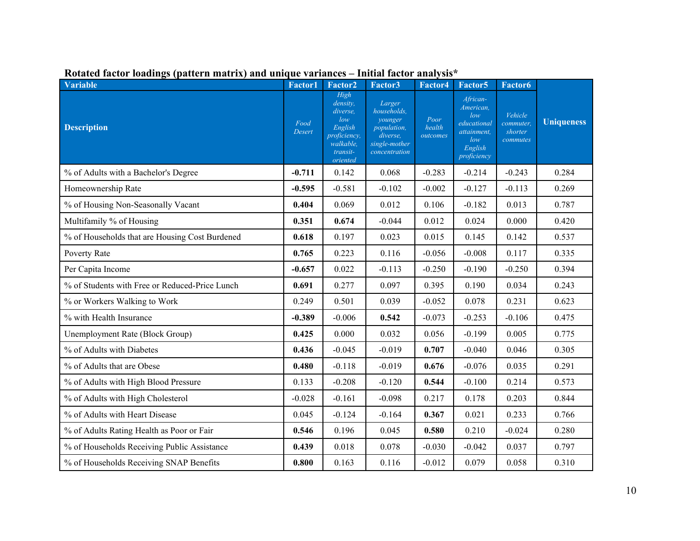| <b>Variable</b>                                | <b>Factor1</b>        | Factor2                                                                                             | Factor3                                                                                       | Factor4                    | Factor <sub>5</sub>                                                                         | Factor <sub>6</sub>                         |                   |
|------------------------------------------------|-----------------------|-----------------------------------------------------------------------------------------------------|-----------------------------------------------------------------------------------------------|----------------------------|---------------------------------------------------------------------------------------------|---------------------------------------------|-------------------|
| <b>Description</b>                             | Food<br><b>Desert</b> | High<br>density.<br>diverse.<br>low<br>English<br>proficiency,<br>walkable,<br>transit-<br>oriented | Larger<br>households.<br>younger<br>population,<br>diverse,<br>single-mother<br>concentration | Poor<br>health<br>outcomes | African-<br>American,<br>low<br>educational<br>attainment,<br>low<br>English<br>proficiency | Vehicle<br>commuter,<br>shorter<br>commutes | <b>Uniqueness</b> |
| % of Adults with a Bachelor's Degree           | $-0.711$              | 0.142                                                                                               | 0.068                                                                                         | $-0.283$                   | $-0.214$                                                                                    | $-0.243$                                    | 0.284             |
| Homeownership Rate                             | $-0.595$              | $-0.581$                                                                                            | $-0.102$                                                                                      | $-0.002$                   | $-0.127$                                                                                    | $-0.113$                                    | 0.269             |
| % of Housing Non-Seasonally Vacant             | 0.404                 | 0.069                                                                                               | 0.012                                                                                         | 0.106                      | $-0.182$                                                                                    | 0.013                                       | 0.787             |
| Multifamily % of Housing                       | 0.351                 | 0.674                                                                                               | $-0.044$                                                                                      | 0.012                      | 0.024                                                                                       | 0.000                                       | 0.420             |
| % of Households that are Housing Cost Burdened | 0.618                 | 0.197                                                                                               | 0.023                                                                                         | 0.015                      | 0.145                                                                                       | 0.142                                       | 0.537             |
| Poverty Rate                                   | 0.765                 | 0.223                                                                                               | 0.116                                                                                         | $-0.056$                   | $-0.008$                                                                                    | 0.117                                       | 0.335             |
| Per Capita Income                              | $-0.657$              | 0.022                                                                                               | $-0.113$                                                                                      | $-0.250$                   | $-0.190$                                                                                    | $-0.250$                                    | 0.394             |
| % of Students with Free or Reduced-Price Lunch | 0.691                 | 0.277                                                                                               | 0.097                                                                                         | 0.395                      | 0.190                                                                                       | 0.034                                       | 0.243             |
| % or Workers Walking to Work                   | 0.249                 | 0.501                                                                                               | 0.039                                                                                         | $-0.052$                   | 0.078                                                                                       | 0.231                                       | 0.623             |
| % with Health Insurance                        | $-0.389$              | $-0.006$                                                                                            | 0.542                                                                                         | $-0.073$                   | $-0.253$                                                                                    | $-0.106$                                    | 0.475             |
| Unemployment Rate (Block Group)                | 0.425                 | 0.000                                                                                               | 0.032                                                                                         | 0.056                      | $-0.199$                                                                                    | 0.005                                       | 0.775             |
| % of Adults with Diabetes                      | 0.436                 | $-0.045$                                                                                            | $-0.019$                                                                                      | 0.707                      | $-0.040$                                                                                    | 0.046                                       | 0.305             |
| % of Adults that are Obese                     | 0.480                 | $-0.118$                                                                                            | $-0.019$                                                                                      | 0.676                      | $-0.076$                                                                                    | 0.035                                       | 0.291             |
| % of Adults with High Blood Pressure           | 0.133                 | $-0.208$                                                                                            | $-0.120$                                                                                      | 0.544                      | $-0.100$                                                                                    | 0.214                                       | 0.573             |
| % of Adults with High Cholesterol              | $-0.028$              | $-0.161$                                                                                            | $-0.098$                                                                                      | 0.217                      | 0.178                                                                                       | 0.203                                       | 0.844             |
| % of Adults with Heart Disease                 | 0.045                 | $-0.124$                                                                                            | $-0.164$                                                                                      | 0.367                      | 0.021                                                                                       | 0.233                                       | 0.766             |
| % of Adults Rating Health as Poor or Fair      | 0.546                 | 0.196                                                                                               | 0.045                                                                                         | 0.580                      | 0.210                                                                                       | $-0.024$                                    | 0.280             |
| % of Households Receiving Public Assistance    | 0.439                 | 0.018                                                                                               | 0.078                                                                                         | $-0.030$                   | $-0.042$                                                                                    | 0.037                                       | 0.797             |
| % of Households Receiving SNAP Benefits        | 0.800                 | 0.163                                                                                               | 0.116                                                                                         | $-0.012$                   | 0.079                                                                                       | 0.058                                       | 0.310             |

## **Rotated factor loadings (pattern matrix) and unique variances – Initial factor analysis\***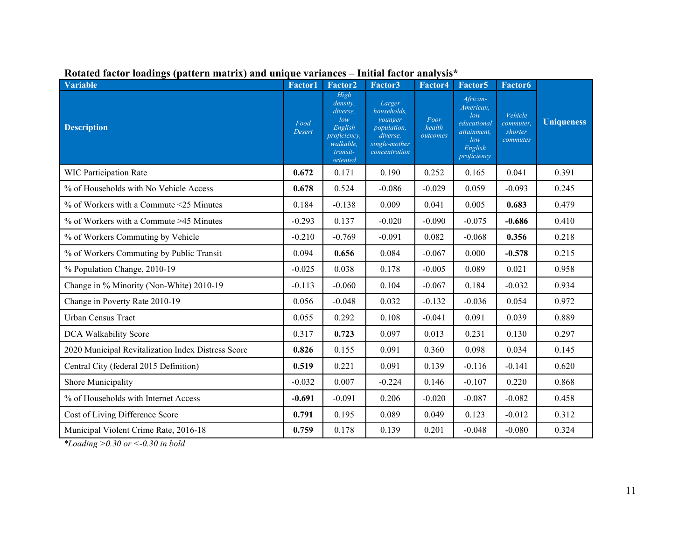| <b>Variable</b>                                    | <b>Factor1</b>        | Factor <sub>2</sub>                                                                                 | Factor3                                                                                       | Factor4                    | Factor <sub>5</sub>                                                                         | <b>Factor6</b>                              |                   |
|----------------------------------------------------|-----------------------|-----------------------------------------------------------------------------------------------------|-----------------------------------------------------------------------------------------------|----------------------------|---------------------------------------------------------------------------------------------|---------------------------------------------|-------------------|
| <b>Description</b>                                 | Food<br><b>Desert</b> | High<br>density,<br>diverse.<br>low<br>English<br>proficiency,<br>walkable,<br>transit-<br>oriented | Larger<br>households.<br>younger<br>population,<br>diverse.<br>single-mother<br>concentration | Poor<br>health<br>outcomes | African-<br>American,<br>low<br>educational<br>attainment,<br>low<br>English<br>proficiency | Vehicle<br>commuter,<br>shorter<br>commutes | <b>Uniqueness</b> |
| <b>WIC Participation Rate</b>                      | 0.672                 | 0.171                                                                                               | 0.190                                                                                         | 0.252                      | 0.165                                                                                       | 0.041                                       | 0.391             |
| % of Households with No Vehicle Access             | 0.678                 | 0.524                                                                                               | $-0.086$                                                                                      | $-0.029$                   | 0.059                                                                                       | $-0.093$                                    | 0.245             |
| % of Workers with a Commute <25 Minutes            | 0.184                 | $-0.138$                                                                                            | 0.009                                                                                         | 0.041                      | 0.005                                                                                       | 0.683                                       | 0.479             |
| % of Workers with a Commute >45 Minutes            | $-0.293$              | 0.137                                                                                               | $-0.020$                                                                                      | $-0.090$                   | $-0.075$                                                                                    | $-0.686$                                    | 0.410             |
| % of Workers Commuting by Vehicle                  | $-0.210$              | $-0.769$                                                                                            | $-0.091$                                                                                      | 0.082                      | $-0.068$                                                                                    | 0.356                                       | 0.218             |
| % of Workers Commuting by Public Transit           | 0.094                 | 0.656                                                                                               | 0.084                                                                                         | $-0.067$                   | 0.000                                                                                       | $-0.578$                                    | 0.215             |
| % Population Change, 2010-19                       | $-0.025$              | 0.038                                                                                               | 0.178                                                                                         | $-0.005$                   | 0.089                                                                                       | 0.021                                       | 0.958             |
| Change in % Minority (Non-White) 2010-19           | $-0.113$              | $-0.060$                                                                                            | 0.104                                                                                         | $-0.067$                   | 0.184                                                                                       | $-0.032$                                    | 0.934             |
| Change in Poverty Rate 2010-19                     | 0.056                 | $-0.048$                                                                                            | 0.032                                                                                         | $-0.132$                   | $-0.036$                                                                                    | 0.054                                       | 0.972             |
| Urban Census Tract                                 | 0.055                 | 0.292                                                                                               | 0.108                                                                                         | $-0.041$                   | 0.091                                                                                       | 0.039                                       | 0.889             |
| DCA Walkability Score                              | 0.317                 | 0.723                                                                                               | 0.097                                                                                         | 0.013                      | 0.231                                                                                       | 0.130                                       | 0.297             |
| 2020 Municipal Revitalization Index Distress Score | 0.826                 | 0.155                                                                                               | 0.091                                                                                         | 0.360                      | 0.098                                                                                       | 0.034                                       | 0.145             |
| Central City (federal 2015 Definition)             | 0.519                 | 0.221                                                                                               | 0.091                                                                                         | 0.139                      | $-0.116$                                                                                    | $-0.141$                                    | 0.620             |
| Shore Municipality                                 | $-0.032$              | 0.007                                                                                               | $-0.224$                                                                                      | 0.146                      | $-0.107$                                                                                    | 0.220                                       | 0.868             |
| % of Households with Internet Access               | $-0.691$              | $-0.091$                                                                                            | 0.206                                                                                         | $-0.020$                   | $-0.087$                                                                                    | $-0.082$                                    | 0.458             |
| Cost of Living Difference Score                    | 0.791                 | 0.195                                                                                               | 0.089                                                                                         | 0.049                      | 0.123                                                                                       | $-0.012$                                    | 0.312             |
| Municipal Violent Crime Rate, 2016-18              | 0.759                 | 0.178                                                                                               | 0.139                                                                                         | 0.201                      | $-0.048$                                                                                    | $-0.080$                                    | 0.324             |

## **Rotated factor loadings (pattern matrix) and unique variances – Initial factor analysis\***

*\*Loading >0.30 or <-0.30 in bold*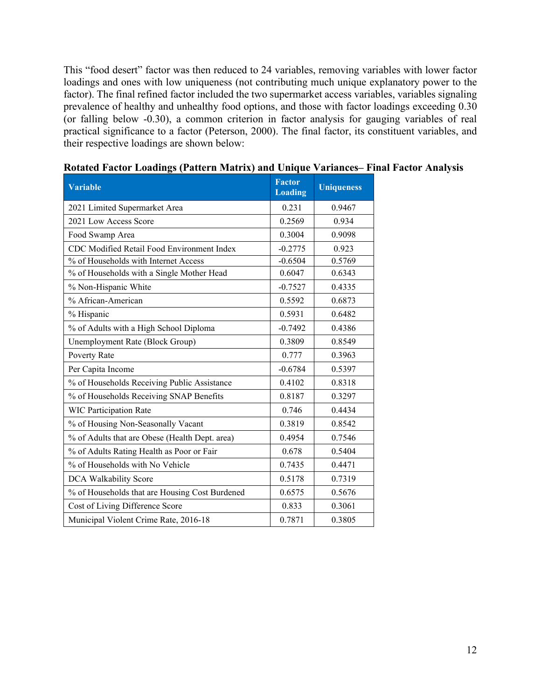This "food desert" factor was then reduced to 24 variables, removing variables with lower factor loadings and ones with low uniqueness (not contributing much unique explanatory power to the factor). The final refined factor included the two supermarket access variables, variables signaling prevalence of healthy and unhealthy food options, and those with factor loadings exceeding 0.30 (or falling below -0.30), a common criterion in factor analysis for gauging variables of real practical significance to a factor (Peterson, 2000). The final factor, its constituent variables, and their respective loadings are shown below:

| <b>Variable</b>                                | <b>Factor</b><br><b>Loading</b> | <b>Uniqueness</b> |
|------------------------------------------------|---------------------------------|-------------------|
| 2021 Limited Supermarket Area                  | 0.231                           | 0.9467            |
| 2021 Low Access Score                          | 0.2569                          | 0.934             |
| Food Swamp Area                                | 0.3004                          | 0.9098            |
| CDC Modified Retail Food Environment Index     | $-0.2775$                       | 0.923             |
| % of Households with Internet Access           | $-0.6504$                       | 0.5769            |
| % of Households with a Single Mother Head      | 0.6047                          | 0.6343            |
| % Non-Hispanic White                           | $-0.7527$                       | 0.4335            |
| % African-American                             | 0.5592                          | 0.6873            |
| % Hispanic                                     | 0.5931                          | 0.6482            |
| % of Adults with a High School Diploma         | $-0.7492$                       | 0.4386            |
| Unemployment Rate (Block Group)                | 0.3809                          | 0.8549            |
| Poverty Rate                                   | 0.777                           | 0.3963            |
| Per Capita Income                              | $-0.6784$                       | 0.5397            |
| % of Households Receiving Public Assistance    | 0.4102                          | 0.8318            |
| % of Households Receiving SNAP Benefits        | 0.8187                          | 0.3297            |
| <b>WIC Participation Rate</b>                  | 0.746                           | 0.4434            |
| % of Housing Non-Seasonally Vacant             | 0.3819                          | 0.8542            |
| % of Adults that are Obese (Health Dept. area) | 0.4954                          | 0.7546            |
| % of Adults Rating Health as Poor or Fair      | 0.678                           | 0.5404            |
| % of Households with No Vehicle                | 0.7435                          | 0.4471            |
| DCA Walkability Score                          | 0.5178                          | 0.7319            |
| % of Households that are Housing Cost Burdened | 0.6575                          | 0.5676            |
| Cost of Living Difference Score                | 0.833                           | 0.3061            |
| Municipal Violent Crime Rate, 2016-18          | 0.7871                          | 0.3805            |

### **Rotated Factor Loadings (Pattern Matrix) and Unique Variances– Final Factor Analysis**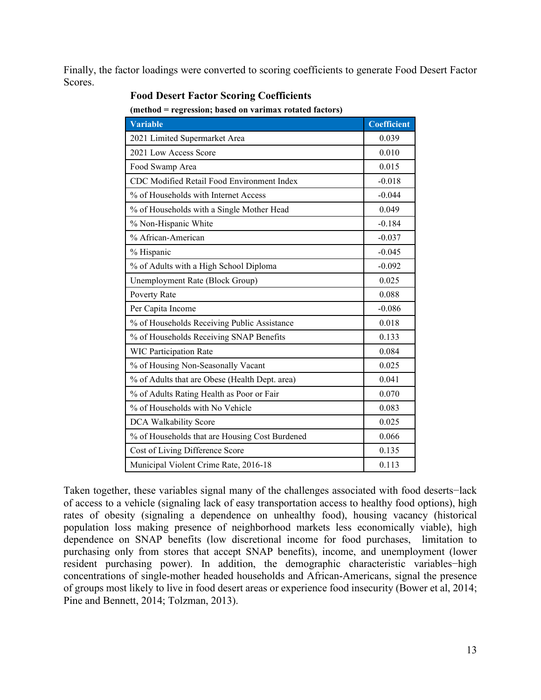Finally, the factor loadings were converted to scoring coefficients to generate Food Desert Factor Scores.

| incinou – regression, based on varimax rotated factors) |                    |  |  |  |
|---------------------------------------------------------|--------------------|--|--|--|
| <b>Variable</b>                                         | <b>Coefficient</b> |  |  |  |
| 2021 Limited Supermarket Area                           | 0.039              |  |  |  |
| 2021 Low Access Score                                   | 0.010              |  |  |  |
| Food Swamp Area                                         | 0.015              |  |  |  |
| CDC Modified Retail Food Environment Index              | $-0.018$           |  |  |  |
| % of Households with Internet Access                    | $-0.044$           |  |  |  |
| % of Households with a Single Mother Head               | 0.049              |  |  |  |
| % Non-Hispanic White                                    | $-0.184$           |  |  |  |
| % African-American                                      | $-0.037$           |  |  |  |
| % Hispanic                                              | $-0.045$           |  |  |  |
| % of Adults with a High School Diploma                  | $-0.092$           |  |  |  |
| Unemployment Rate (Block Group)                         | 0.025              |  |  |  |
| Poverty Rate                                            | 0.088              |  |  |  |
| Per Capita Income                                       | $-0.086$           |  |  |  |
| % of Households Receiving Public Assistance             | 0.018              |  |  |  |
| % of Households Receiving SNAP Benefits                 | 0.133              |  |  |  |
| <b>WIC Participation Rate</b>                           | 0.084              |  |  |  |
| % of Housing Non-Seasonally Vacant                      | 0.025              |  |  |  |
| % of Adults that are Obese (Health Dept. area)          | 0.041              |  |  |  |
| % of Adults Rating Health as Poor or Fair               | 0.070              |  |  |  |
| % of Households with No Vehicle                         | 0.083              |  |  |  |
| DCA Walkability Score                                   | 0.025              |  |  |  |
| % of Households that are Housing Cost Burdened          | 0.066              |  |  |  |
| Cost of Living Difference Score                         | 0.135              |  |  |  |
| Municipal Violent Crime Rate, 2016-18                   | 0.113              |  |  |  |

### **Food Desert Factor Scoring Coefficients**

**(method = regression; based on varimax rotated factors)**

Taken together, these variables signal many of the challenges associated with food deserts−lack of access to a vehicle (signaling lack of easy transportation access to healthy food options), high rates of obesity (signaling a dependence on unhealthy food), housing vacancy (historical population loss making presence of neighborhood markets less economically viable), high dependence on SNAP benefits (low discretional income for food purchases, limitation to purchasing only from stores that accept SNAP benefits), income, and unemployment (lower resident purchasing power). In addition, the demographic characteristic variables−high concentrations of single-mother headed households and African-Americans, signal the presence of groups most likely to live in food desert areas or experience food insecurity (Bower et al, 2014; Pine and Bennett, 2014; Tolzman, 2013).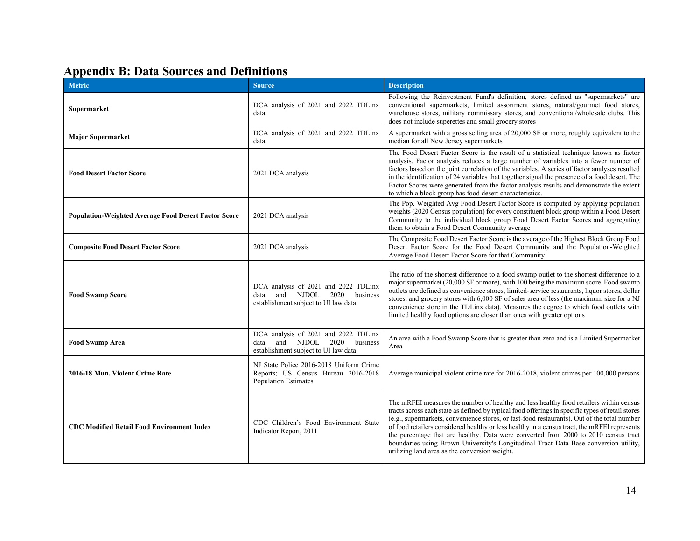# **Appendix B: Data Sources and Definitions**

| <b>Metric</b>                                               | <b>Source</b>                                                                                                         | <b>Description</b>                                                                                                                                                                                                                                                                                                                                                                                                                                                                                                                                                                                                        |  |  |
|-------------------------------------------------------------|-----------------------------------------------------------------------------------------------------------------------|---------------------------------------------------------------------------------------------------------------------------------------------------------------------------------------------------------------------------------------------------------------------------------------------------------------------------------------------------------------------------------------------------------------------------------------------------------------------------------------------------------------------------------------------------------------------------------------------------------------------------|--|--|
| Supermarket                                                 | DCA analysis of 2021 and 2022 TDLinx<br>data                                                                          | Following the Reinvestment Fund's definition, stores defined as "supermarkets" are<br>conventional supermarkets, limited assortment stores, natural/gourmet food stores,<br>warehouse stores, military commissary stores, and conventional/wholesale clubs. This<br>does not include superettes and small grocery stores                                                                                                                                                                                                                                                                                                  |  |  |
| <b>Major Supermarket</b>                                    | DCA analysis of 2021 and 2022 TDLinx<br>data                                                                          | A supermarket with a gross selling area of 20,000 SF or more, roughly equivalent to the<br>median for all New Jersey supermarkets                                                                                                                                                                                                                                                                                                                                                                                                                                                                                         |  |  |
| <b>Food Desert Factor Score</b>                             | 2021 DCA analysis                                                                                                     | The Food Desert Factor Score is the result of a statistical technique known as factor<br>analysis. Factor analysis reduces a large number of variables into a fewer number of<br>factors based on the joint correlation of the variables. A series of factor analyses resulted<br>in the identification of 24 variables that together signal the presence of a food desert. The<br>Factor Scores were generated from the factor analysis results and demonstrate the extent<br>to which a block group has food desert characteristics.                                                                                    |  |  |
| <b>Population-Weighted Average Food Desert Factor Score</b> | 2021 DCA analysis                                                                                                     | The Pop. Weighted Avg Food Desert Factor Score is computed by applying population<br>weights (2020 Census population) for every constituent block group within a Food Desert<br>Community to the individual block group Food Desert Factor Scores and aggregating<br>them to obtain a Food Desert Community average                                                                                                                                                                                                                                                                                                       |  |  |
| <b>Composite Food Desert Factor Score</b>                   | 2021 DCA analysis                                                                                                     | The Composite Food Desert Factor Score is the average of the Highest Block Group Food<br>Desert Factor Score for the Food Desert Community and the Population-Weighted<br>Average Food Desert Factor Score for that Community                                                                                                                                                                                                                                                                                                                                                                                             |  |  |
| <b>Food Swamp Score</b>                                     | DCA analysis of 2021 and 2022 TDLinx<br>and NJDOL<br>2020<br>business<br>data<br>establishment subject to UI law data | The ratio of the shortest difference to a food swamp outlet to the shortest difference to a<br>major supermarket (20,000 SF or more), with 100 being the maximum score. Food swamp<br>outlets are defined as convenience stores, limited-service restaurants, liquor stores, dollar<br>stores, and grocery stores with 6,000 SF of sales area of less (the maximum size for a NJ<br>convenience store in the TDLinx data). Measures the degree to which food outlets with<br>limited healthy food options are closer than ones with greater options                                                                       |  |  |
| <b>Food Swamp Area</b>                                      | DCA analysis of 2021 and 2022 TDLinx<br>and NJDOL<br>2020<br>business<br>data<br>establishment subject to UI law data | An area with a Food Swamp Score that is greater than zero and is a Limited Supermarket<br>Area                                                                                                                                                                                                                                                                                                                                                                                                                                                                                                                            |  |  |
| 2016-18 Mun. Violent Crime Rate                             | NJ State Police 2016-2018 Uniform Crime<br>Reports; US Census Bureau 2016-2018<br><b>Population Estimates</b>         | Average municipal violent crime rate for 2016-2018, violent crimes per 100,000 persons                                                                                                                                                                                                                                                                                                                                                                                                                                                                                                                                    |  |  |
| <b>CDC Modified Retail Food Environment Index</b>           | CDC Children's Food Environment State<br>Indicator Report, 2011                                                       | The mRFEI measures the number of healthy and less healthy food retailers within census<br>tracts across each state as defined by typical food offerings in specific types of retail stores<br>(e.g., supermarkets, convenience stores, or fast-food restaurants). Out of the total number<br>of food retailers considered healthy or less healthy in a census tract, the mRFEI represents<br>the percentage that are healthy. Data were converted from 2000 to 2010 census tract<br>boundaries using Brown University's Longitudinal Tract Data Base conversion utility,<br>utilizing land area as the conversion weight. |  |  |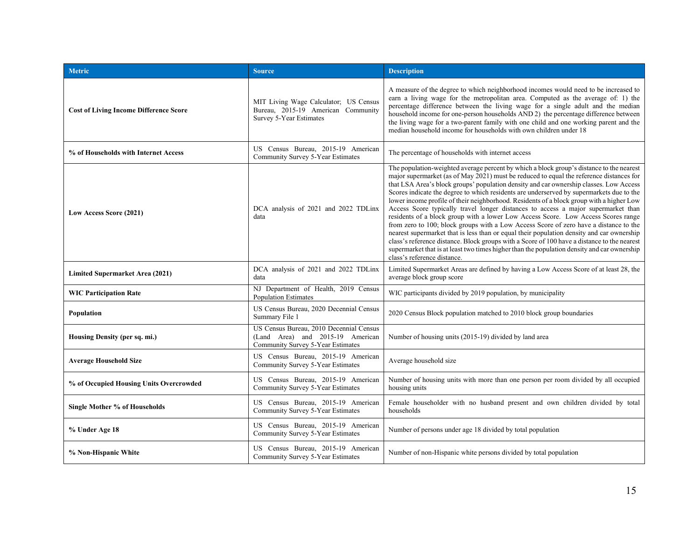| <b>Metric</b>                                 | <b>Source</b>                                                                                                    | <b>Description</b>                                                                                                                                                                                                                                                                                                                                                                                                                                                                                                                                                                                                                                                                                                                                                                                                                                                                                                                                                                                                                                                 |  |
|-----------------------------------------------|------------------------------------------------------------------------------------------------------------------|--------------------------------------------------------------------------------------------------------------------------------------------------------------------------------------------------------------------------------------------------------------------------------------------------------------------------------------------------------------------------------------------------------------------------------------------------------------------------------------------------------------------------------------------------------------------------------------------------------------------------------------------------------------------------------------------------------------------------------------------------------------------------------------------------------------------------------------------------------------------------------------------------------------------------------------------------------------------------------------------------------------------------------------------------------------------|--|
| <b>Cost of Living Income Difference Score</b> | MIT Living Wage Calculator; US Census<br>Bureau, 2015-19 American Community<br>Survey 5-Year Estimates           | A measure of the degree to which neighborhood incomes would need to be increased to<br>earn a living wage for the metropolitan area. Computed as the average of: 1) the<br>percentage difference between the living wage for a single adult and the median<br>household income for one-person households AND 2) the percentage difference between<br>the living wage for a two-parent family with one child and one working parent and the<br>median household income for households with own children under 18                                                                                                                                                                                                                                                                                                                                                                                                                                                                                                                                                    |  |
| % of Households with Internet Access          | US Census Bureau, 2015-19 American<br>Community Survey 5-Year Estimates                                          | The percentage of households with internet access                                                                                                                                                                                                                                                                                                                                                                                                                                                                                                                                                                                                                                                                                                                                                                                                                                                                                                                                                                                                                  |  |
| Low Access Score (2021)                       | DCA analysis of 2021 and 2022 TDLinx<br>data                                                                     | The population-weighted average percent by which a block group's distance to the nearest<br>major supermarket (as of May 2021) must be reduced to equal the reference distances for<br>that LSA Area's block groups' population density and car ownership classes. Low Access<br>Scores indicate the degree to which residents are underserved by supermarkets due to the<br>lower income profile of their neighborhood. Residents of a block group with a higher Low<br>Access Score typically travel longer distances to access a major supermarket than<br>residents of a block group with a lower Low Access Score. Low Access Scores range<br>from zero to 100; block groups with a Low Access Score of zero have a distance to the<br>nearest supermarket that is less than or equal their population density and car ownership<br>class's reference distance. Block groups with a Score of 100 have a distance to the nearest<br>supermarket that is at least two times higher than the population density and car ownership<br>class's reference distance. |  |
| Limited Supermarket Area (2021)               | DCA analysis of 2021 and 2022 TDLinx<br>data                                                                     | Limited Supermarket Areas are defined by having a Low Access Score of at least 28, the<br>average block group score                                                                                                                                                                                                                                                                                                                                                                                                                                                                                                                                                                                                                                                                                                                                                                                                                                                                                                                                                |  |
| <b>WIC Participation Rate</b>                 | NJ Department of Health, 2019 Census<br><b>Population Estimates</b>                                              | WIC participants divided by 2019 population, by municipality                                                                                                                                                                                                                                                                                                                                                                                                                                                                                                                                                                                                                                                                                                                                                                                                                                                                                                                                                                                                       |  |
| Population                                    | US Census Bureau, 2020 Decennial Census<br>Summary File 1                                                        | 2020 Census Block population matched to 2010 block group boundaries                                                                                                                                                                                                                                                                                                                                                                                                                                                                                                                                                                                                                                                                                                                                                                                                                                                                                                                                                                                                |  |
| Housing Density (per sq. mi.)                 | US Census Bureau, 2010 Decennial Census<br>(Land Area) and 2015-19 American<br>Community Survey 5-Year Estimates | Number of housing units (2015-19) divided by land area                                                                                                                                                                                                                                                                                                                                                                                                                                                                                                                                                                                                                                                                                                                                                                                                                                                                                                                                                                                                             |  |
| <b>Average Household Size</b>                 | US Census Bureau, 2015-19 American<br>Community Survey 5-Year Estimates                                          | Average household size                                                                                                                                                                                                                                                                                                                                                                                                                                                                                                                                                                                                                                                                                                                                                                                                                                                                                                                                                                                                                                             |  |
| % of Occupied Housing Units Overcrowded       | US Census Bureau, 2015-19 American<br>Community Survey 5-Year Estimates                                          | Number of housing units with more than one person per room divided by all occupied<br>housing units                                                                                                                                                                                                                                                                                                                                                                                                                                                                                                                                                                                                                                                                                                                                                                                                                                                                                                                                                                |  |
| <b>Single Mother % of Households</b>          | US Census Bureau, 2015-19 American<br>Community Survey 5-Year Estimates                                          | Female householder with no husband present and own children divided by total<br>households                                                                                                                                                                                                                                                                                                                                                                                                                                                                                                                                                                                                                                                                                                                                                                                                                                                                                                                                                                         |  |
| % Under Age 18                                | US Census Bureau, 2015-19 American<br>Community Survey 5-Year Estimates                                          | Number of persons under age 18 divided by total population                                                                                                                                                                                                                                                                                                                                                                                                                                                                                                                                                                                                                                                                                                                                                                                                                                                                                                                                                                                                         |  |
| % Non-Hispanic White                          | US Census Bureau, 2015-19 American<br>Community Survey 5-Year Estimates                                          | Number of non-Hispanic white persons divided by total population                                                                                                                                                                                                                                                                                                                                                                                                                                                                                                                                                                                                                                                                                                                                                                                                                                                                                                                                                                                                   |  |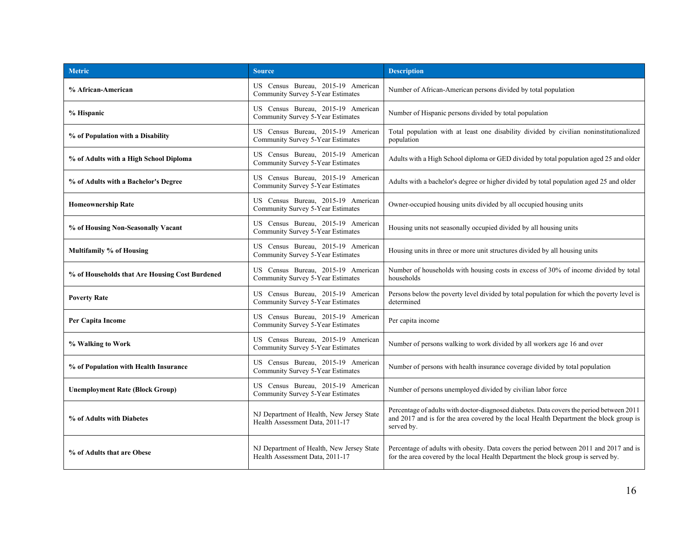| <b>Metric</b>                                  | <b>Source</b>                                                                | <b>Description</b>                                                                                                                                                                               |
|------------------------------------------------|------------------------------------------------------------------------------|--------------------------------------------------------------------------------------------------------------------------------------------------------------------------------------------------|
| % African-American                             | US Census Bureau, 2015-19 American<br>Community Survey 5-Year Estimates      | Number of African-American persons divided by total population                                                                                                                                   |
| % Hispanic                                     | US Census Bureau, 2015-19 American<br>Community Survey 5-Year Estimates      | Number of Hispanic persons divided by total population                                                                                                                                           |
| % of Population with a Disability              | US Census Bureau, 2015-19 American<br>Community Survey 5-Year Estimates      | Total population with at least one disability divided by civilian noninstitutionalized<br>population                                                                                             |
| % of Adults with a High School Diploma         | US Census Bureau, 2015-19 American<br>Community Survey 5-Year Estimates      | Adults with a High School diploma or GED divided by total population aged 25 and older                                                                                                           |
| % of Adults with a Bachelor's Degree           | US Census Bureau, 2015-19 American<br>Community Survey 5-Year Estimates      | Adults with a bachelor's degree or higher divided by total population aged 25 and older                                                                                                          |
| <b>Homeownership Rate</b>                      | US Census Bureau, 2015-19 American<br>Community Survey 5-Year Estimates      | Owner-occupied housing units divided by all occupied housing units                                                                                                                               |
| % of Housing Non-Seasonally Vacant             | US Census Bureau, 2015-19 American<br>Community Survey 5-Year Estimates      | Housing units not seasonally occupied divided by all housing units                                                                                                                               |
| <b>Multifamily % of Housing</b>                | US Census Bureau, 2015-19 American<br>Community Survey 5-Year Estimates      | Housing units in three or more unit structures divided by all housing units                                                                                                                      |
| % of Households that Are Housing Cost Burdened | US Census Bureau, 2015-19 American<br>Community Survey 5-Year Estimates      | Number of households with housing costs in excess of 30% of income divided by total<br>households                                                                                                |
| <b>Poverty Rate</b>                            | US Census Bureau, 2015-19 American<br>Community Survey 5-Year Estimates      | Persons below the poverty level divided by total population for which the poverty level is<br>determined                                                                                         |
| Per Capita Income                              | US Census Bureau, 2015-19 American<br>Community Survey 5-Year Estimates      | Per capita income                                                                                                                                                                                |
| % Walking to Work                              | US Census Bureau, 2015-19 American<br>Community Survey 5-Year Estimates      | Number of persons walking to work divided by all workers age 16 and over                                                                                                                         |
| % of Population with Health Insurance          | US Census Bureau, 2015-19 American<br>Community Survey 5-Year Estimates      | Number of persons with health insurance coverage divided by total population                                                                                                                     |
| <b>Unemployment Rate (Block Group)</b>         | US Census Bureau, 2015-19 American<br>Community Survey 5-Year Estimates      | Number of persons unemployed divided by civilian labor force                                                                                                                                     |
| % of Adults with Diabetes                      | NJ Department of Health, New Jersey State<br>Health Assessment Data, 2011-17 | Percentage of adults with doctor-diagnosed diabetes. Data covers the period between 2011<br>and 2017 and is for the area covered by the local Health Department the block group is<br>served by. |
| % of Adults that are Obese                     | NJ Department of Health, New Jersey State<br>Health Assessment Data, 2011-17 | Percentage of adults with obesity. Data covers the period between 2011 and 2017 and is<br>for the area covered by the local Health Department the block group is served by.                      |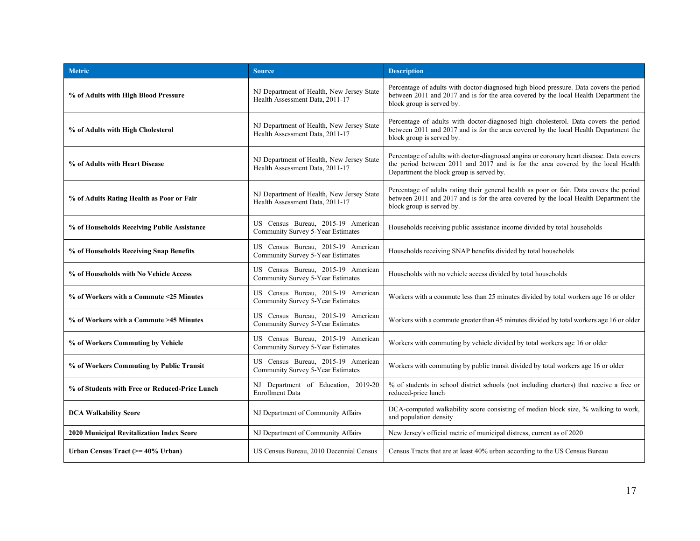| <b>Metric</b>                                  | <b>Source</b>                                                                | <b>Description</b>                                                                                                                                                                                                       |
|------------------------------------------------|------------------------------------------------------------------------------|--------------------------------------------------------------------------------------------------------------------------------------------------------------------------------------------------------------------------|
| % of Adults with High Blood Pressure           | NJ Department of Health, New Jersey State<br>Health Assessment Data, 2011-17 | Percentage of adults with doctor-diagnosed high blood pressure. Data covers the period<br>between 2011 and 2017 and is for the area covered by the local Health Department the<br>block group is served by.              |
| % of Adults with High Cholesterol              | NJ Department of Health, New Jersey State<br>Health Assessment Data, 2011-17 | Percentage of adults with doctor-diagnosed high cholesterol. Data covers the period<br>between 2011 and 2017 and is for the area covered by the local Health Department the<br>block group is served by.                 |
| % of Adults with Heart Disease                 | NJ Department of Health, New Jersey State<br>Health Assessment Data, 2011-17 | Percentage of adults with doctor-diagnosed angina or coronary heart disease. Data covers<br>the period between 2011 and 2017 and is for the area covered by the local Health<br>Department the block group is served by. |
| % of Adults Rating Health as Poor or Fair      | NJ Department of Health, New Jersey State<br>Health Assessment Data, 2011-17 | Percentage of adults rating their general health as poor or fair. Data covers the period<br>between 2011 and 2017 and is for the area covered by the local Health Department the<br>block group is served by.            |
| % of Households Receiving Public Assistance    | US Census Bureau, 2015-19 American<br>Community Survey 5-Year Estimates      | Households receiving public assistance income divided by total households                                                                                                                                                |
| % of Households Receiving Snap Benefits        | US Census Bureau, 2015-19 American<br>Community Survey 5-Year Estimates      | Households receiving SNAP benefits divided by total households                                                                                                                                                           |
| % of Households with No Vehicle Access         | US Census Bureau, 2015-19 American<br>Community Survey 5-Year Estimates      | Households with no vehicle access divided by total households                                                                                                                                                            |
| % of Workers with a Commute <25 Minutes        | US Census Bureau, 2015-19 American<br>Community Survey 5-Year Estimates      | Workers with a commute less than 25 minutes divided by total workers age 16 or older                                                                                                                                     |
| % of Workers with a Commute >45 Minutes        | US Census Bureau, 2015-19 American<br>Community Survey 5-Year Estimates      | Workers with a commute greater than 45 minutes divided by total workers age 16 or older                                                                                                                                  |
| % of Workers Commuting by Vehicle              | US Census Bureau, 2015-19 American<br>Community Survey 5-Year Estimates      | Workers with commuting by vehicle divided by total workers age 16 or older                                                                                                                                               |
| % of Workers Commuting by Public Transit       | US Census Bureau, 2015-19 American<br>Community Survey 5-Year Estimates      | Workers with commuting by public transit divided by total workers age 16 or older                                                                                                                                        |
| % of Students with Free or Reduced-Price Lunch | NJ Department of Education, 2019-20<br><b>Enrollment Data</b>                | % of students in school district schools (not including charters) that receive a free or<br>reduced-price lunch                                                                                                          |
| <b>DCA Walkability Score</b>                   | NJ Department of Community Affairs                                           | DCA-computed walkability score consisting of median block size, % walking to work,<br>and population density                                                                                                             |
| 2020 Municipal Revitalization Index Score      | NJ Department of Community Affairs                                           | New Jersey's official metric of municipal distress, current as of 2020                                                                                                                                                   |
| Urban Census Tract (>= 40% Urban)              | US Census Bureau, 2010 Decennial Census                                      | Census Tracts that are at least 40% urban according to the US Census Bureau                                                                                                                                              |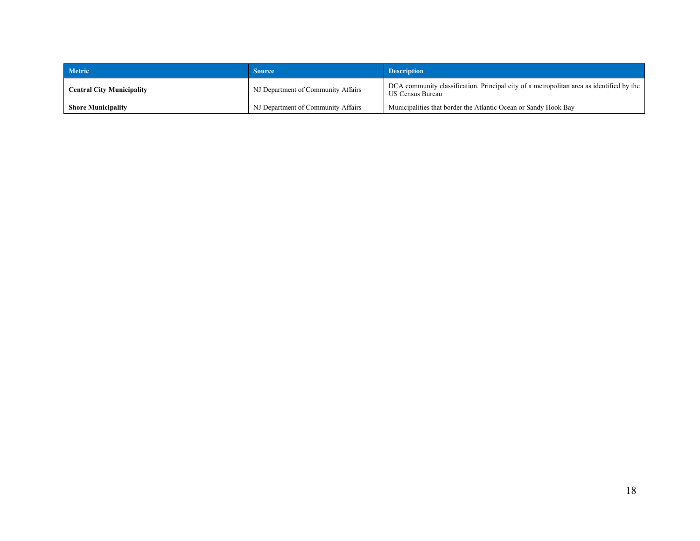| <b>Metric</b>                    | <b>Source</b>                      | <b>Description</b>                                                                                                  |
|----------------------------------|------------------------------------|---------------------------------------------------------------------------------------------------------------------|
| <b>Central City Municipality</b> | NJ Department of Community Affairs | DCA community classification. Principal city of a metropolitan area as identified by the<br><b>US Census Bureau</b> |
| <b>Shore Municipality</b>        | NJ Department of Community Affairs | Municipalities that border the Atlantic Ocean or Sandy Hook Bay                                                     |